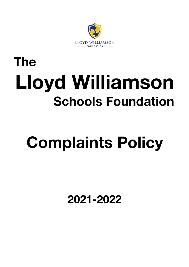

# **The Lloyd Williamson Schools Foundation**

# **Complaints Policy**

**2021-2022**